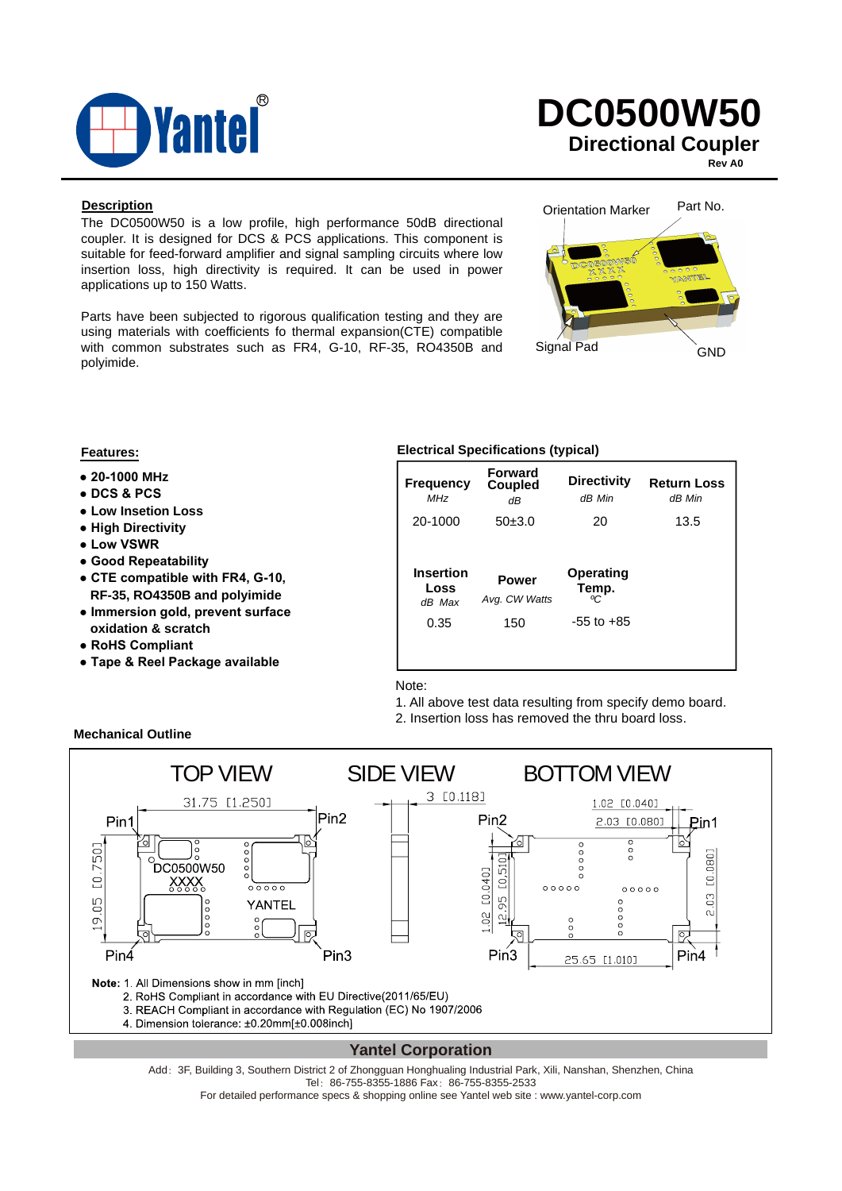

#### **Rev A0**

#### **Description**

The DC0500W50 is a low profile, high performance 50dB directional coupler. It is designed for DCS & PCS applications. This component is suitable for feed-forward amplifier and signal sampling circuits where low insertion loss, high directivity is required. It can be used in power applications up to 150 Watts.

Parts have been subjected to rigorous qualification testing and they are using materials with coefficients fo thermal expansion(CTE) compatible with common substrates such as FR4, G-10, RF-35, RO4350B and polyimide.



- **20-1000 MHz**
- **DCS & PCS**
- **Low Insetion Loss**
- **High Directivity**
- **Low VSWR**
- **Good Repeatability**
- **CTE compatible with FR4, G-10, RF-35, RO4350B and polyimide**
- **Immersion gold, prevent surface oxidation & scratch**
- **RoHS Compliant**

**Mechanical Outline**

**● Tape & Reel Package available**

#### **Features: Electrical Specifications (typical)**

| <b>Frequency</b><br><b>MHz</b><br>20-1000 | <b>Forward</b><br>Coupled<br>dΒ<br>50±3.0 | <b>Directivity</b><br>dB Min<br>20        | <b>Return Loss</b><br>dB Min<br>13.5 |
|-------------------------------------------|-------------------------------------------|-------------------------------------------|--------------------------------------|
| Insertion<br>Loss<br>dB Max<br>0.35       | <b>Power</b><br>Avg. CW Watts<br>150      | Operating<br>Temp.<br>ሚ<br>$-55$ to $+85$ |                                      |
|                                           |                                           |                                           |                                      |

Note:

1. All above test data resulting from specify demo board.

2. Insertion loss has removed the thru board loss.



#### **Yantel Corporation**

Add: 3F, Building 3, Southern District 2 of Zhongguan Honghualing Industrial Park, Xili, Nanshan, Shenzhen, China Tel: 86-755-8355-1886 Fax: 86-755-8355-2533

For detailed performance specs & shopping online see Yantel web site : www.yantel-corp.com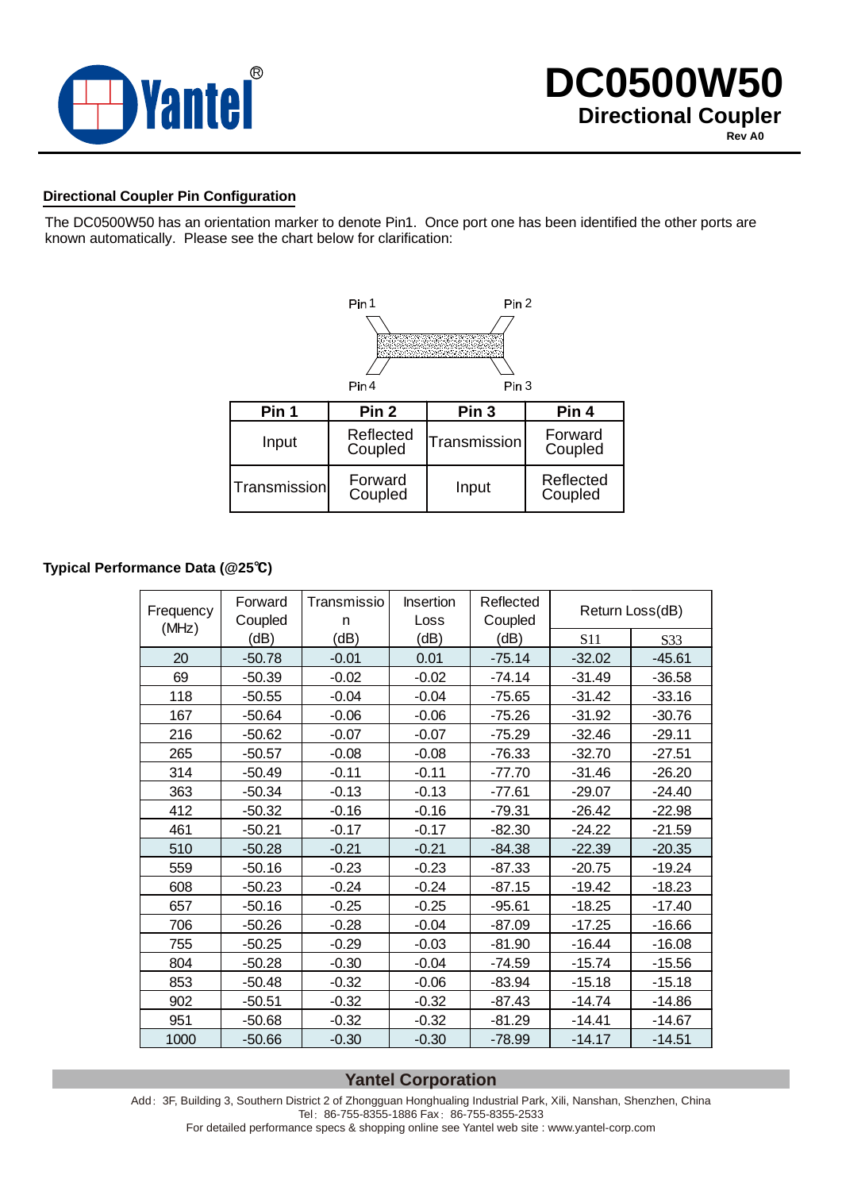

#### **Directional Coupler Pin Configuration**

The DC0500W50 has an orientation marker to denote Pin1. Once port one has been identified the other ports are known automatically. Please see the chart below for clarification:



#### **Typical Performance Data (@25**℃**)**

| Frequency | Forward<br>Coupled | Transmissio<br>n | <b>Insertion</b><br>Loss | Reflected<br>Coupled | Return Loss(dB) |                 |
|-----------|--------------------|------------------|--------------------------|----------------------|-----------------|-----------------|
| (MHz)     | (dB)               | (dB)             | (dB)                     | (dB)                 | S <sub>11</sub> | S <sub>33</sub> |
| 20        | $-50.78$           | $-0.01$          | 0.01                     | $-75.14$             | $-32.02$        | $-45.61$        |
| 69        | $-50.39$           | $-0.02$          | $-0.02$                  | $-74.14$             | $-31.49$        | $-36.58$        |
| 118       | $-50.55$           | $-0.04$          | $-0.04$                  | $-75.65$             | $-31.42$        | $-33.16$        |
| 167       | $-50.64$           | $-0.06$          | $-0.06$                  | $-75.26$             | $-31.92$        | $-30.76$        |
| 216       | $-50.62$           | $-0.07$          | $-0.07$                  | $-75.29$             | $-32.46$        | $-29.11$        |
| 265       | $-50.57$           | $-0.08$          | $-0.08$                  | $-76.33$             | $-32.70$        | $-27.51$        |
| 314       | $-50.49$           | $-0.11$          | $-0.11$                  | $-77.70$             | $-31.46$        | $-26.20$        |
| 363       | $-50.34$           | $-0.13$          | $-0.13$                  | $-77.61$             | $-29.07$        | $-24.40$        |
| 412       | $-50.32$           | $-0.16$          | $-0.16$                  | $-79.31$             | $-26.42$        | $-22.98$        |
| 461       | $-50.21$           | $-0.17$          | $-0.17$                  | $-82.30$             | $-24.22$        | $-21.59$        |
| 510       | $-50.28$           | $-0.21$          | $-0.21$                  | $-84.38$             | $-22.39$        | $-20.35$        |
| 559       | $-50.16$           | $-0.23$          | $-0.23$                  | $-87.33$             | $-20.75$        | -19.24          |
| 608       | $-50.23$           | $-0.24$          | $-0.24$                  | $-87.15$             | $-19.42$        | $-18.23$        |
| 657       | $-50.16$           | $-0.25$          | $-0.25$                  | $-95.61$             | $-18.25$        | $-17.40$        |
| 706       | $-50.26$           | $-0.28$          | $-0.04$                  | $-87.09$             | $-17.25$        | $-16.66$        |
| 755       | $-50.25$           | $-0.29$          | $-0.03$                  | $-81.90$             | $-16.44$        | $-16.08$        |
| 804       | $-50.28$           | $-0.30$          | $-0.04$                  | $-74.59$             | $-15.74$        | $-15.56$        |
| 853       | $-50.48$           | $-0.32$          | $-0.06$                  | $-83.94$             | $-15.18$        | $-15.18$        |
| 902       | $-50.51$           | $-0.32$          | $-0.32$                  | $-87.43$             | $-14.74$        | -14.86          |
| 951       | $-50.68$           | $-0.32$          | $-0.32$                  | $-81.29$             | $-14.41$        | $-14.67$        |
| 1000      | $-50.66$           | $-0.30$          | $-0.30$                  | $-78.99$             | $-14.17$        | $-14.51$        |

### **Yantel Corporation**

Add: 3F, Building 3, Southern District 2 of Zhongguan Honghualing Industrial Park, Xili, Nanshan, Shenzhen, China Tel: 86-755-8355-1886 Fax: 86-755-8355-2533

For detailed performance specs & shopping online see Yantel web site : www.yantel-corp.com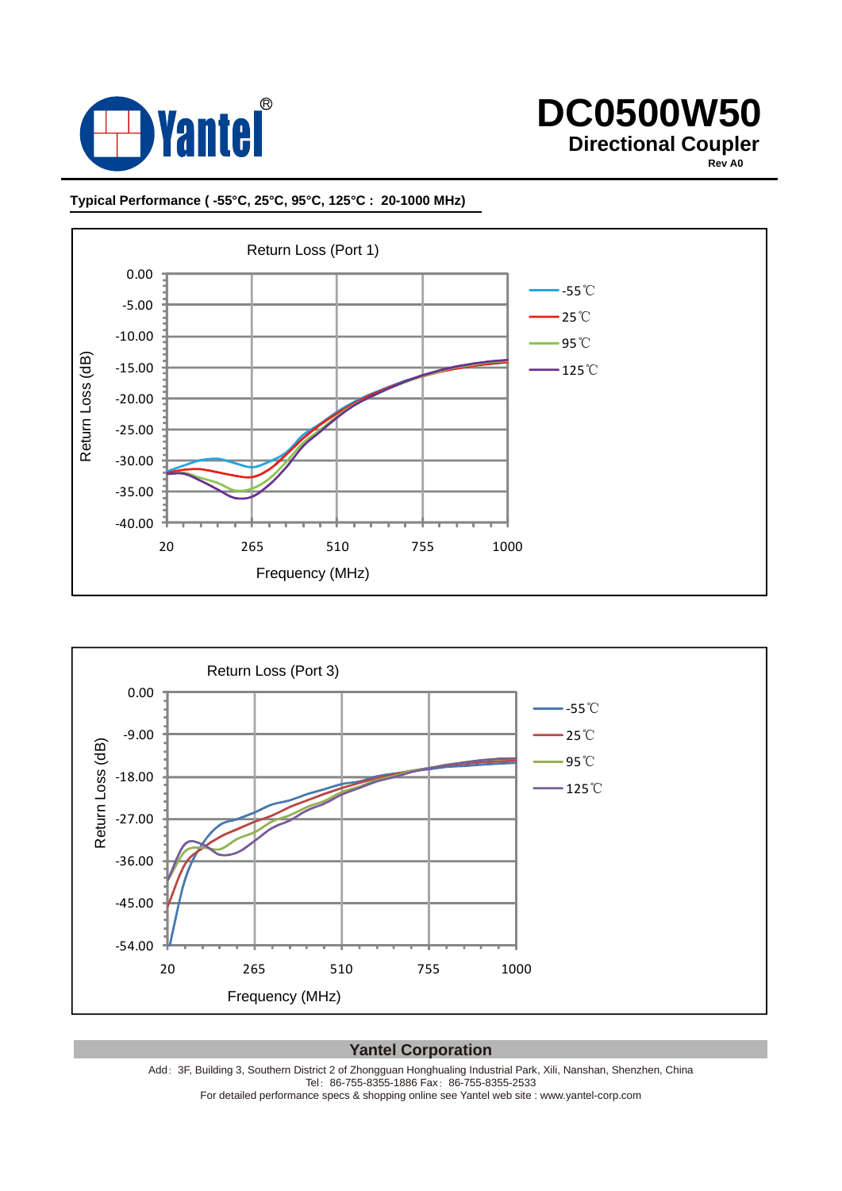

**Rev A0**

#### **Typical Performance ( -55°C, 25°C, 95°C, 125°C : 20-1000 MHz)**





**Yantel Corporation**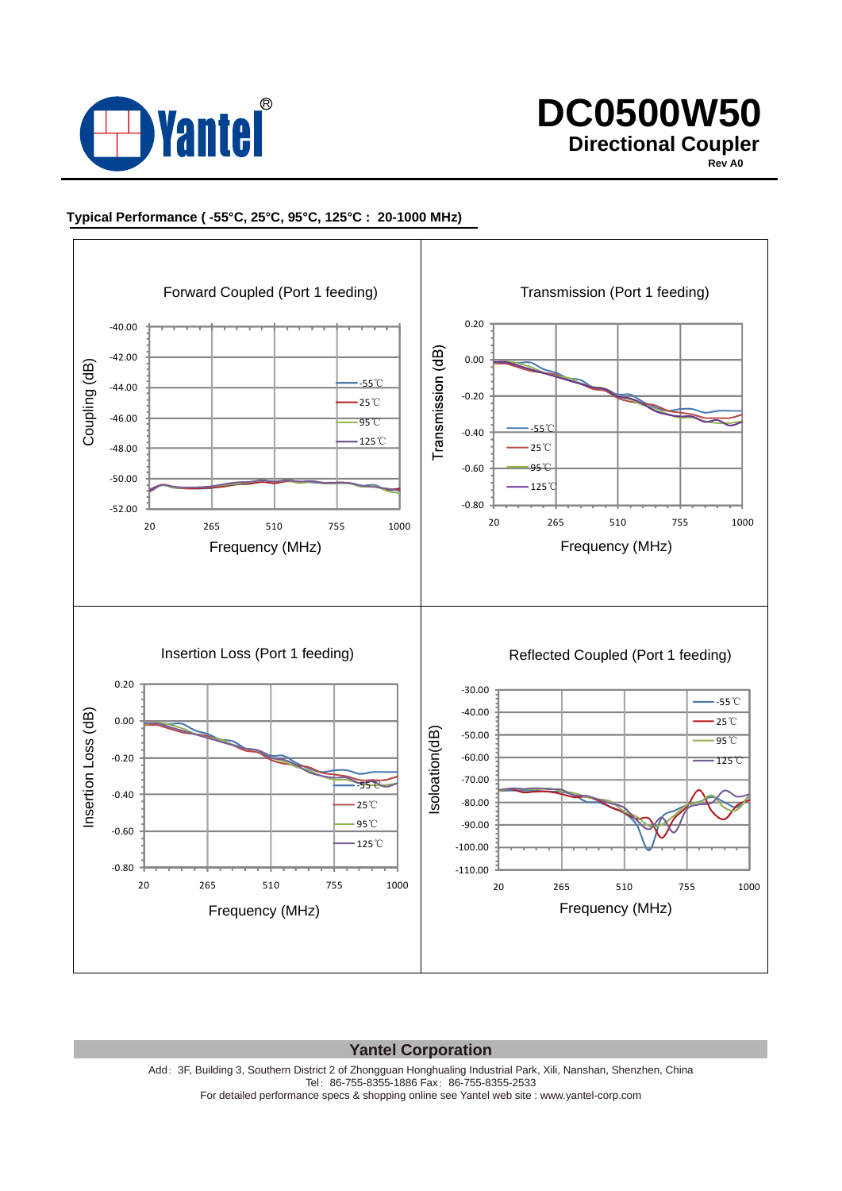

**Rev A0**

#### **Typical Performance ( -55°C, 25°C, 95°C, 125°C : 20-1000 MHz)**



#### **Yantel Corporation**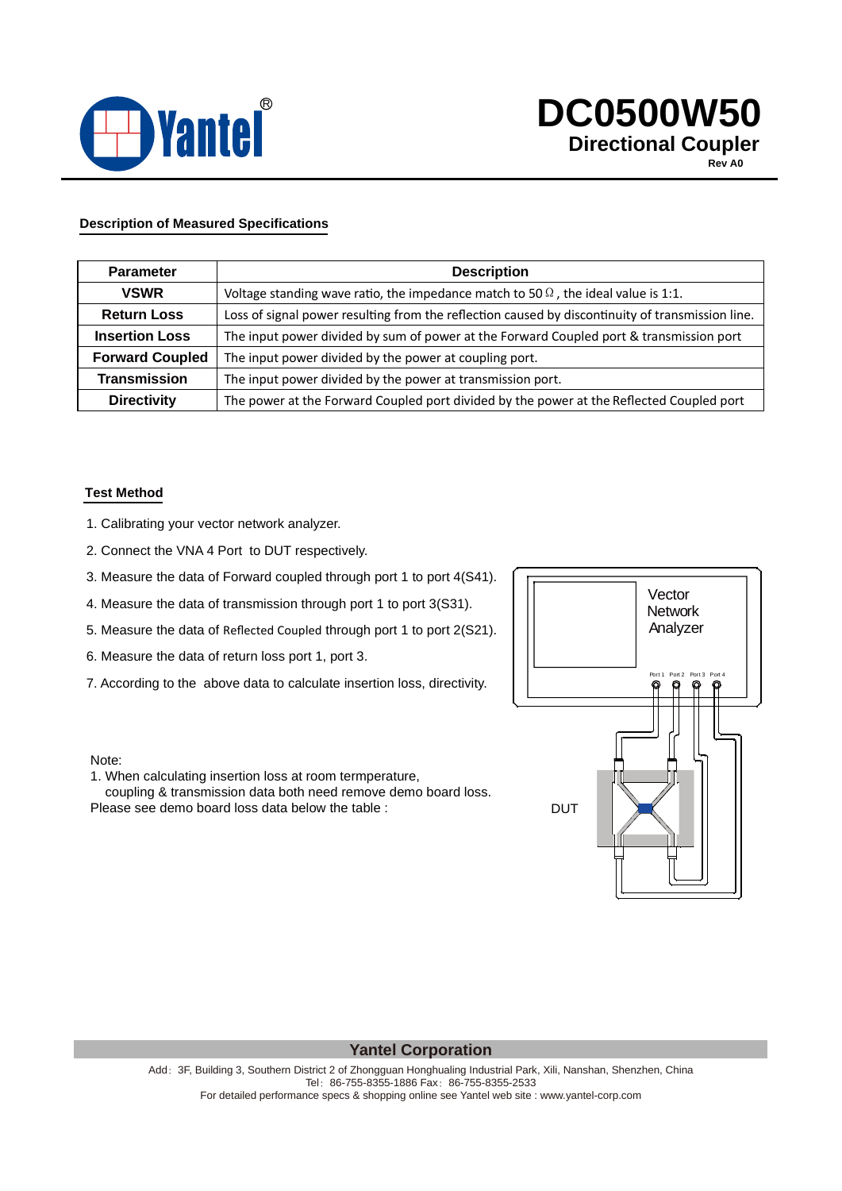

**Rev A0**

#### **Description of Measured Specifications**

| <b>Parameter</b>       | <b>Description</b>                                                                               |  |  |
|------------------------|--------------------------------------------------------------------------------------------------|--|--|
| <b>VSWR</b>            | Voltage standing wave ratio, the impedance match to 50 $\Omega$ , the ideal value is 1:1.        |  |  |
| <b>Return Loss</b>     | Loss of signal power resulting from the reflection caused by discontinuity of transmission line. |  |  |
| <b>Insertion Loss</b>  | The input power divided by sum of power at the Forward Coupled port & transmission port          |  |  |
| <b>Forward Coupled</b> | The input power divided by the power at coupling port.                                           |  |  |
| <b>Transmission</b>    | The input power divided by the power at transmission port.                                       |  |  |
| <b>Directivity</b>     | The power at the Forward Coupled port divided by the power at the Reflected Coupled port         |  |  |

#### **Test Method**

- 1. Calibrating your vector network analyzer.
- 2. Connect the VNA 4 Port to DUT respectively.
- 3. Measure the data of Forward coupled through port 1 to port 4(S41).
- 4. Measure the data of transmission through port 1 to port 3(S31).
- 5. Measure the data of Reflected Coupled through port 1 to port 2(S21).
- 6. Measure the data of return loss port 1, port 3.
- 7. According to the above data to calculate insertion loss, directivity.

#### Note:

1. When calculating insertion loss at room termperature,

 coupling & transmission data both need remove demo board loss. Please see demo board loss data below the table :

# Port 2 Port 3 Port 4 **Vector Network** Analyzer DUT

#### **Yantel Corporation**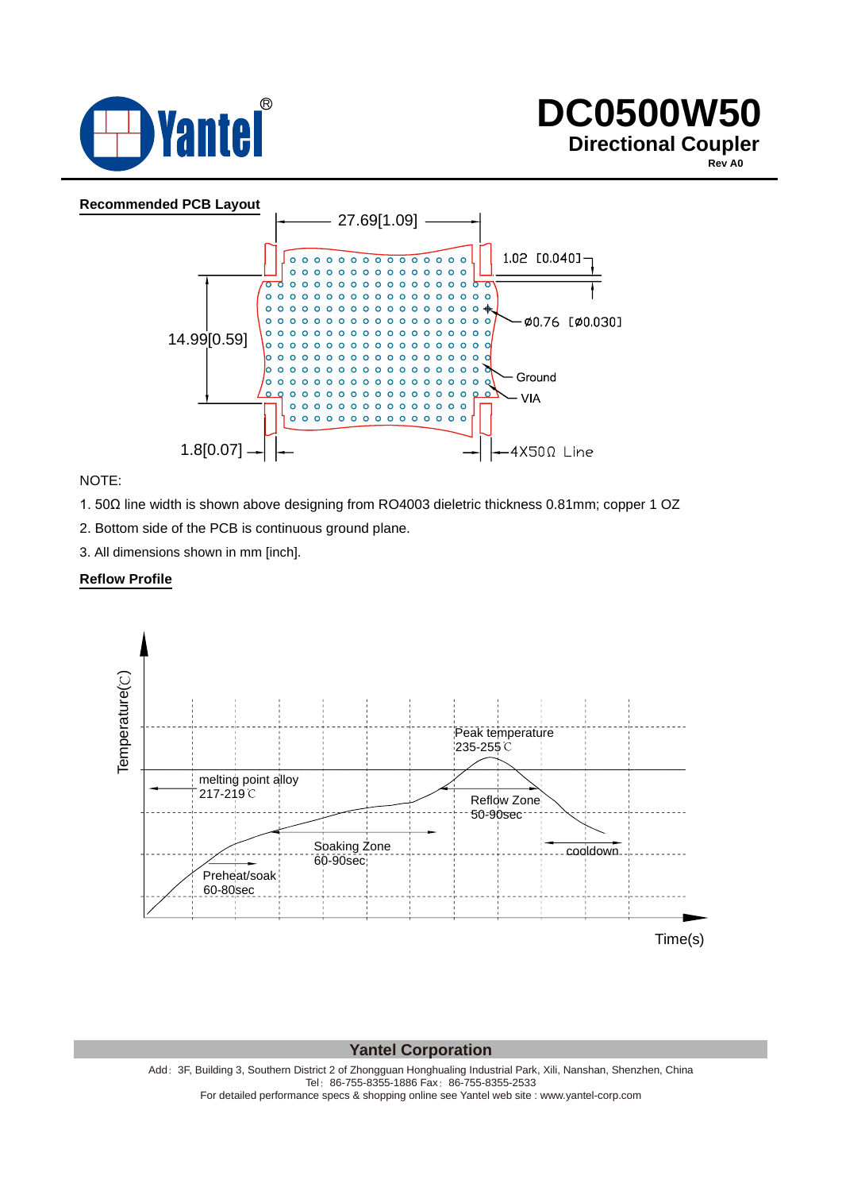

**Rev A0**



NOTE:

1. 50Ω line width is shown above designing from RO4003 dieletric thickness 0.81mm; copper 1 OZ

2. Bottom side of the PCB is continuous ground plane.

3. All dimensions shown in mm [inch].

#### **Reflow Profile**



#### **Yantel Corporation**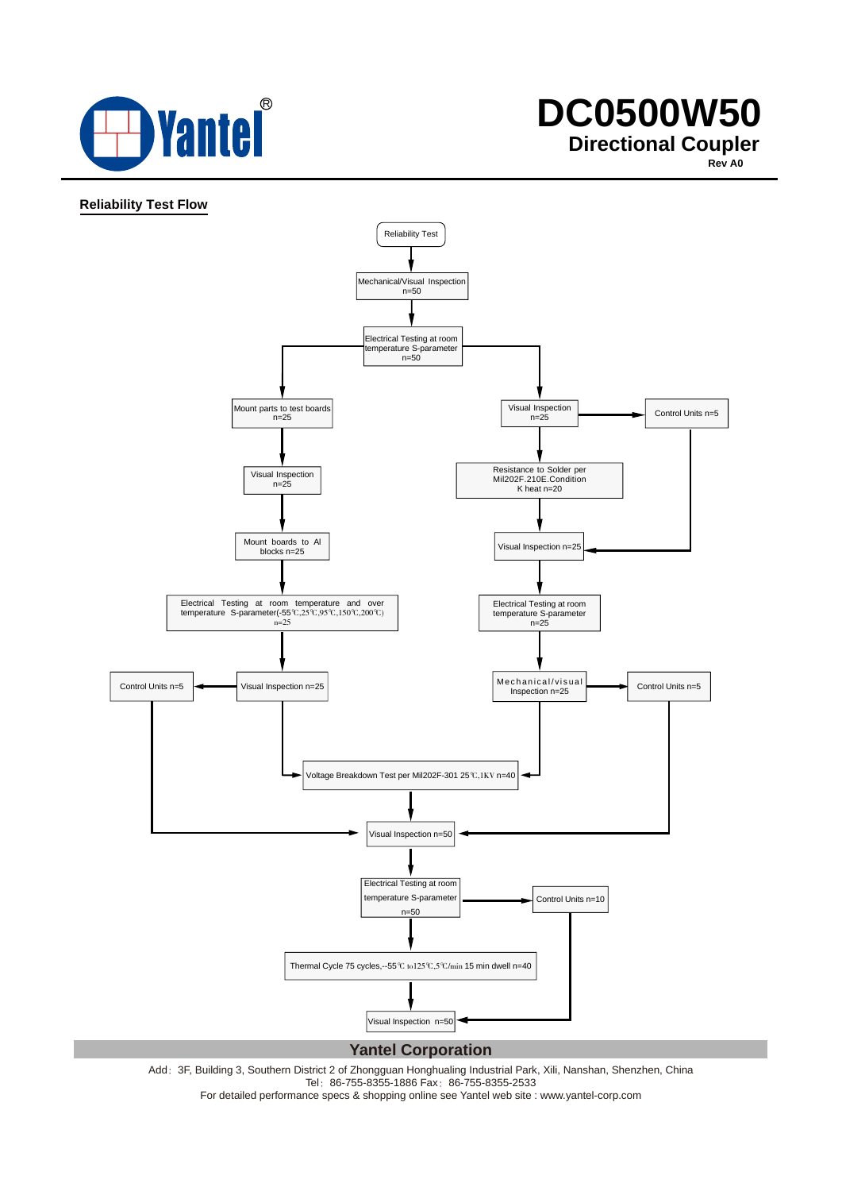

**Rev A0**

#### **Reliability Test Flow**